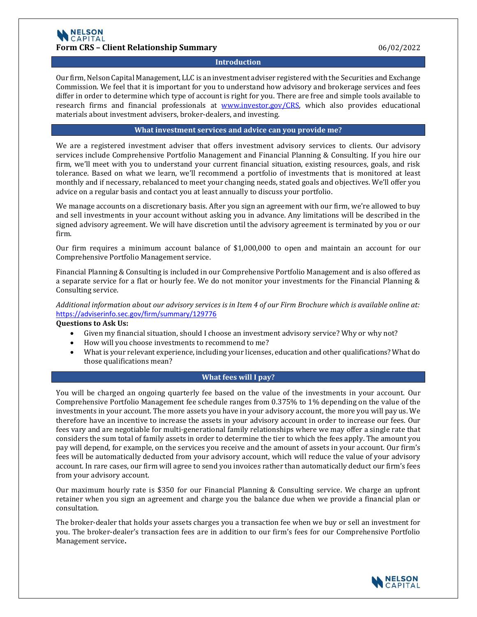### **Introduction**

Our firm, Nelson Capital Management, LLC is an investment adviser registered with the Securities and Exchange Commission. We feel that it is important for you to understand how advisory and brokerage services and fees differ in order to determine which type of account is right for you. There are free and simple tools available to research firms and financial professionals at [www.investor.gov/CRS,](http://www.investor.gov/CRS) which also provides educational materials about investment advisers, broker-dealers, and investing.

### **What investment services and advice can you provide me?**

We are a registered investment adviser that offers investment advisory services to clients. Our advisory services include Comprehensive Portfolio Management and Financial Planning & Consulting. If you hire our firm, we'll meet with you to understand your current financial situation, existing resources, goals, and risk tolerance. Based on what we learn, we'll recommend a portfolio of investments that is monitored at least monthly and if necessary, rebalanced to meet your changing needs, stated goals and objectives. We'll offer you advice on a regular basis and contact you at least annually to discuss your portfolio.

We manage accounts on a discretionary basis. After you sign an agreement with our firm, we're allowed to buy and sell investments in your account without asking you in advance. Any limitations will be described in the signed advisory agreement. We will have discretion until the advisory agreement is terminated by you or our firm.

Our firm requires a minimum account balance of \$1,000,000 to open and maintain an account for our Comprehensive Portfolio Management service.

Financial Planning & Consulting is included in our Comprehensive Portfolio Management and is also offered as a separate service for a flat or hourly fee. We do not monitor your investments for the Financial Planning & Consulting service.

*Additional information about our advisory services is in Item 4 of our Firm Brochure which is available online at:* <https://adviserinfo.sec.gov/firm/summary/129776>

### **Questions to Ask Us:**

- Given my financial situation, should I choose an investment advisory service? Why or why not?
- How will you choose investments to recommend to me?
- What is your relevant experience, including your licenses, education and other qualifications? What do those qualifications mean?

# **What fees will I pay?**

You will be charged an ongoing quarterly fee based on the value of the investments in your account. Our Comprehensive Portfolio Management fee schedule ranges from 0.375% to 1% depending on the value of the investments in your account. The more assets you have in your advisory account, the more you will pay us. We therefore have an incentive to increase the assets in your advisory account in order to increase our fees. Our fees vary and are negotiable for multi-generational family relationships where we may offer a single rate that considers the sum total of family assets in order to determine the tier to which the fees apply. The amount you pay will depend, for example, on the services you receive and the amount of assets in your account. Our firm's fees will be automatically deducted from your advisory account, which will reduce the value of your advisory account. In rare cases, our firm will agree to send you invoices rather than automatically deduct our firm's fees from your advisory account.

Our maximum hourly rate is \$350 for our Financial Planning & Consulting service. We charge an upfront retainer when you sign an agreement and charge you the balance due when we provide a financial plan or consultation.

The broker-dealer that holds your assets charges you a transaction fee when we buy or sell an investment for you. The broker-dealer's transaction fees are in addition to our firm's fees for our Comprehensive Portfolio Management service**.**